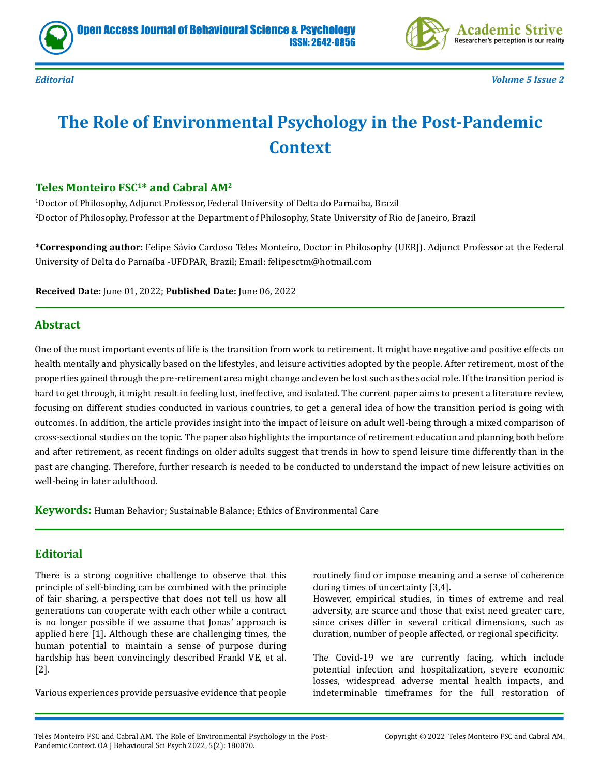



*Editorial Volume 5 Issue 2*

# **The Role of Environmental Psychology in the Post-Pandemic Context**

### **Teles Monteiro FSC1\* and Cabral AM2**

1 Doctor of Philosophy, Adjunct Professor, Federal University of Delta do Parnaiba, Brazil 2 Doctor of Philosophy, Professor at the Department of Philosophy, State University of Rio de Janeiro, Brazil

**\*Corresponding author:** Felipe Sávio Cardoso Teles Monteiro, Doctor in Philosophy (UERJ). Adjunct Professor at the Federal University of Delta do Parnaíba -UFDPAR, Brazil; Email: felipesctm@hotmail.com

**Received Date:** June 01, 2022; **Published Date:** June 06, 2022

#### **Abstract**

One of the most important events of life is the transition from work to retirement. It might have negative and positive effects on health mentally and physically based on the lifestyles, and leisure activities adopted by the people. After retirement, most of the properties gained through the pre-retirement area might change and even be lost such as the social role. If the transition period is hard to get through, it might result in feeling lost, ineffective, and isolated. The current paper aims to present a literature review, focusing on different studies conducted in various countries, to get a general idea of how the transition period is going with outcomes. In addition, the article provides insight into the impact of leisure on adult well-being through a mixed comparison of cross-sectional studies on the topic. The paper also highlights the importance of retirement education and planning both before and after retirement, as recent findings on older adults suggest that trends in how to spend leisure time differently than in the past are changing. Therefore, further research is needed to be conducted to understand the impact of new leisure activities on well-being in later adulthood.

**Keywords:** Human Behavior; Sustainable Balance; Ethics of Environmental Care

#### **Editorial**

There is a strong cognitive challenge to observe that this principle of self-binding can be combined with the principle of fair sharing, a perspective that does not tell us how all generations can cooperate with each other while a contract is no longer possible if we assume that Jonas' approach is applied here [1]. Although these are challenging times, the human potential to maintain a sense of purpose during hardship has been convincingly described Frankl VE, et al. [2].

Various experiences provide persuasive evidence that people

routinely find or impose meaning and a sense of coherence during times of uncertainty [3,4].

However, empirical studies, in times of extreme and real adversity, are scarce and those that exist need greater care, since crises differ in several critical dimensions, such as duration, number of people affected, or regional specificity.

The Covid-19 we are currently facing, which include potential infection and hospitalization, severe economic losses, widespread adverse mental health impacts, and indeterminable timeframes for the full restoration of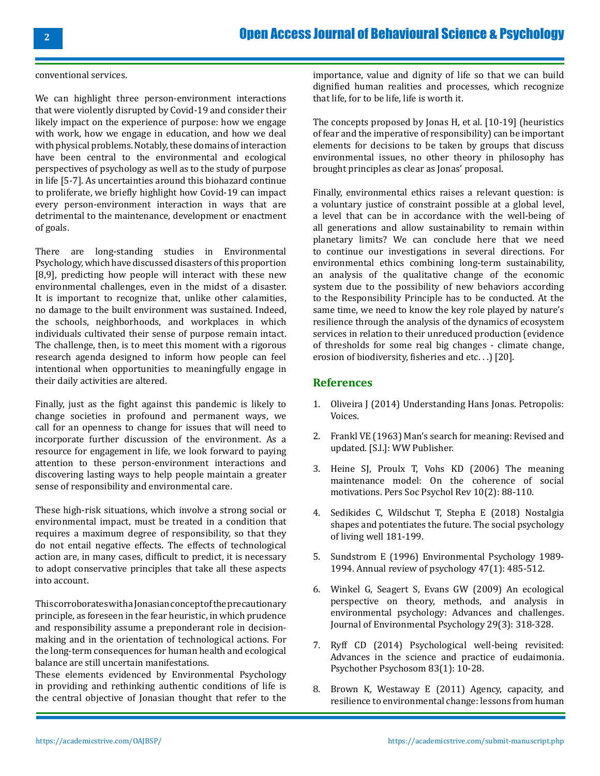conventional services.

We can highlight three person-environment interactions that were violently disrupted by Covid-19 and consider their likely impact on the experience of purpose: how we engage with work, how we engage in education, and how we deal with physical problems. Notably, these domains of interaction have been central to the environmental and ecological perspectives of psychology as well as to the study of purpose in life [5-7]. As uncertainties around this biohazard continue to proliferate, we briefly highlight how Covid-19 can impact every person-environment interaction in ways that are detrimental to the maintenance, development or enactment of goals.

There are long-standing studies in Environmental Psychology, which have discussed disasters of this proportion [8,9], predicting how people will interact with these new environmental challenges, even in the midst of a disaster. It is important to recognize that, unlike other calamities, no damage to the built environment was sustained. Indeed, the schools, neighborhoods, and workplaces in which individuals cultivated their sense of purpose remain intact. The challenge, then, is to meet this moment with a rigorous research agenda designed to inform how people can feel intentional when opportunities to meaningfully engage in their daily activities are altered.

Finally, just as the fight against this pandemic is likely to change societies in profound and permanent ways, we call for an openness to change for issues that will need to incorporate further discussion of the environment. As a resource for engagement in life, we look forward to paying attention to these person-environment interactions and discovering lasting ways to help people maintain a greater sense of responsibility and environmental care.

These high-risk situations, which involve a strong social or environmental impact, must be treated in a condition that requires a maximum degree of responsibility, so that they do not entail negative effects. The effects of technological action are, in many cases, difficult to predict, it is necessary to adopt conservative principles that take all these aspects into account.

This corroborates with a Jonasian concept of the precautionary principle, as foreseen in the fear heuristic, in which prudence and responsibility assume a preponderant role in decisionmaking and in the orientation of technological actions. For the long-term consequences for human health and ecological balance are still uncertain manifestations.

These elements evidenced by Environmental Psychology in providing and rethinking authentic conditions of life is the central objective of Jonasian thought that refer to the importance, value and dignity of life so that we can build dignified human realities and processes, which recognize that life, for to be life, life is worth it.

The concepts proposed by Jonas H, et al. [10-19] (heuristics of fear and the imperative of responsibility) can be important elements for decisions to be taken by groups that discuss environmental issues, no other theory in philosophy has brought principles as clear as Jonas' proposal.

Finally, environmental ethics raises a relevant question: is a voluntary justice of constraint possible at a global level, a level that can be in accordance with the well-being of all generations and allow sustainability to remain within planetary limits? We can conclude here that we need to continue our investigations in several directions. For environmental ethics combining long-term sustainability, an analysis of the qualitative change of the economic system due to the possibility of new behaviors according to the Responsibility Principle has to be conducted. At the same time, we need to know the key role played by nature's resilience through the analysis of the dynamics of ecosystem services in relation to their unreduced production (evidence of thresholds for some real big changes - climate change, erosion of biodiversity, fisheries and etc. . .) [20].

#### **References**

- 1. Oliveira J (2014) Understanding Hans Jonas. Petropolis: Voices.
- 2. Frankl VE (1963) Man's search for meaning: Revised and updated. [S.l.]: WW Publisher.
- 3. [Heine SJ, Proulx T, Vohs KD \(2006\) The meaning](https://pubmed.ncbi.nlm.nih.gov/16768649/)  [maintenance model: On the coherence of social](https://pubmed.ncbi.nlm.nih.gov/16768649/)  [motivations. Pers Soc Psychol Rev 10\(2\): 88-110.](https://pubmed.ncbi.nlm.nih.gov/16768649/)
- 4. [Sedikides C, Wildschut T, Stepha E \(2018\) Nostalgia](https://eprints.soton.ac.uk/420238/) [shapes and potentiates the future. The social psychology](https://eprints.soton.ac.uk/420238/)  [of living well 181-199.](https://eprints.soton.ac.uk/420238/)
- 5. [Sundstrom E \(1996\) Environmental Psychology 1989-](https://www.annualreviews.org/doi/abs/10.1146/annurev.psych.47.1.485) [1994. Annual review of psychology 47\(1\): 485-512.](https://www.annualreviews.org/doi/abs/10.1146/annurev.psych.47.1.485)
- 6. [Winkel G, Seagert S, Evans GW \(2009\) An ecological](https://www.sciencedirect.com/science/article/abs/pii/S0272494409000085)  [perspective on theory, methods, and analysis in](https://www.sciencedirect.com/science/article/abs/pii/S0272494409000085)  [environmental psychology: Advances and challenges.](https://www.sciencedirect.com/science/article/abs/pii/S0272494409000085) [Journal of Environmental Psychology 29\(3\): 318-328.](https://www.sciencedirect.com/science/article/abs/pii/S0272494409000085)
- 7. [Ryff CD \(2014\) Psychological well-being revisited:](https://pubmed.ncbi.nlm.nih.gov/24281296/) [Advances in the science and practice of eudaimonia.](https://pubmed.ncbi.nlm.nih.gov/24281296/)  [Psychother Psychosom 83\(1\): 10-28.](https://pubmed.ncbi.nlm.nih.gov/24281296/)
- 8. [Brown K, Westaway E \(2011\) Agency, capacity, and](https://www.academia.edu/43044868/Agency_Capacity_and_Resilience_to_Environmental_Change_Lessons_from_Human_Development_Well_Being_and_Disasters)  [resilience to environmental change: lessons from human](https://www.academia.edu/43044868/Agency_Capacity_and_Resilience_to_Environmental_Change_Lessons_from_Human_Development_Well_Being_and_Disasters)